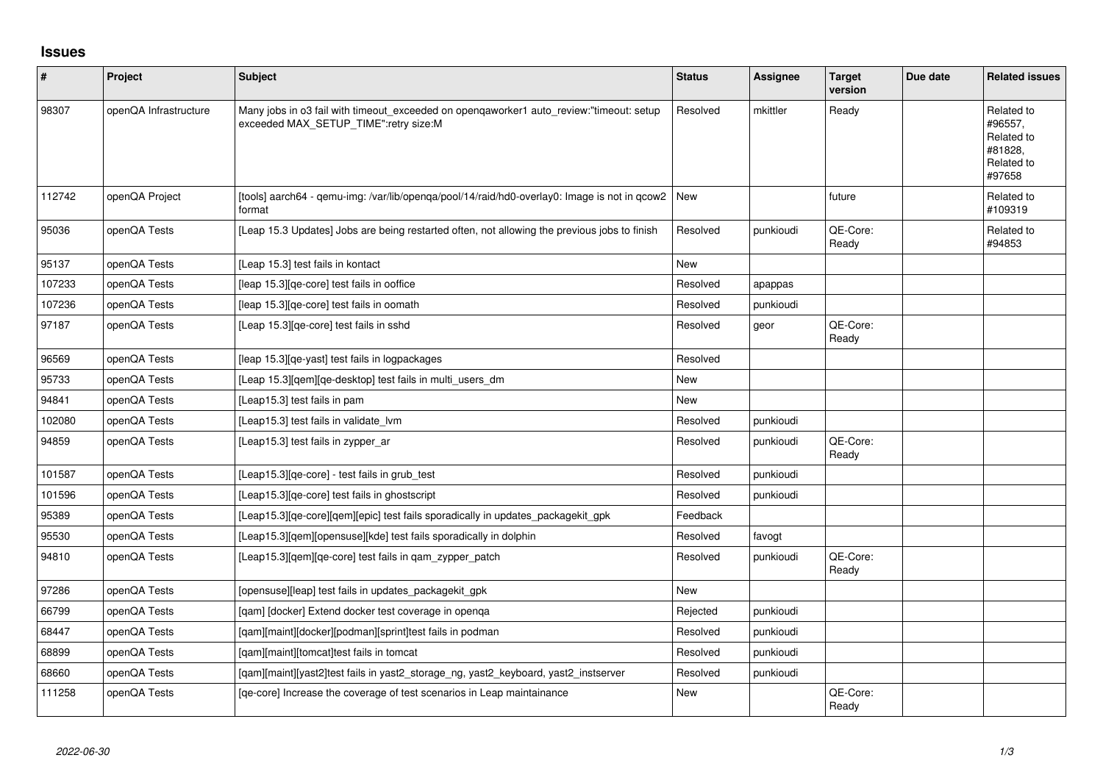## **Issues**

| $\vert$ # | Project               | Subject                                                                                                                          | <b>Status</b> | <b>Assignee</b> | <b>Target</b><br>version | Due date | <b>Related issues</b>                                                  |
|-----------|-----------------------|----------------------------------------------------------------------------------------------------------------------------------|---------------|-----------------|--------------------------|----------|------------------------------------------------------------------------|
| 98307     | openQA Infrastructure | Many jobs in o3 fail with timeout_exceeded on opengaworker1 auto_review:"timeout: setup<br>exceeded MAX_SETUP_TIME":retry size:M | Resolved      | mkittler        | Ready                    |          | Related to<br>#96557,<br>Related to<br>#81828,<br>Related to<br>#97658 |
| 112742    | openQA Project        | [tools] aarch64 - qemu-img: /var/lib/openqa/pool/14/raid/hd0-overlay0: Image is not in qcow2   New<br>format                     |               |                 | future                   |          | Related to<br>#109319                                                  |
| 95036     | openQA Tests          | [Leap 15.3 Updates] Jobs are being restarted often, not allowing the previous jobs to finish                                     | Resolved      | punkioudi       | QE-Core:<br>Ready        |          | Related to<br>#94853                                                   |
| 95137     | openQA Tests          | [Leap 15.3] test fails in kontact                                                                                                | New           |                 |                          |          |                                                                        |
| 107233    | openQA Tests          | [leap 15.3] [qe-core] test fails in ooffice                                                                                      | Resolved      | apappas         |                          |          |                                                                        |
| 107236    | openQA Tests          | [leap 15.3][qe-core] test fails in oomath                                                                                        | Resolved      | punkioudi       |                          |          |                                                                        |
| 97187     | openQA Tests          | [Leap 15.3] [qe-core] test fails in sshd                                                                                         | Resolved      | geor            | QE-Core:<br>Ready        |          |                                                                        |
| 96569     | openQA Tests          | [leap 15.3] [qe-yast] test fails in logpackages                                                                                  | Resolved      |                 |                          |          |                                                                        |
| 95733     | openQA Tests          | [Leap 15.3][qem][qe-desktop] test fails in multi_users_dm                                                                        | New           |                 |                          |          |                                                                        |
| 94841     | openQA Tests          | [Leap15.3] test fails in pam                                                                                                     | <b>New</b>    |                 |                          |          |                                                                        |
| 102080    | openQA Tests          | [Leap15.3] test fails in validate lym                                                                                            | Resolved      | punkioudi       |                          |          |                                                                        |
| 94859     | openQA Tests          | [Leap15.3] test fails in zypper ar                                                                                               | Resolved      | punkioudi       | QE-Core:<br>Ready        |          |                                                                        |
| 101587    | openQA Tests          | [Leap15.3] [qe-core] - test fails in grub_test                                                                                   | Resolved      | punkioudi       |                          |          |                                                                        |
| 101596    | openQA Tests          | [Leap15.3][qe-core] test fails in ghostscript                                                                                    | Resolved      | punkioudi       |                          |          |                                                                        |
| 95389     | openQA Tests          | [Leap15.3] [ge-core] [gem] [epic] test fails sporadically in updates packagekit gpk                                              | Feedback      |                 |                          |          |                                                                        |
| 95530     | openQA Tests          | [Leap15.3][qem][opensuse][kde] test fails sporadically in dolphin                                                                | Resolved      | favogt          |                          |          |                                                                        |
| 94810     | openQA Tests          | [Leap15.3][gem][ge-core] test fails in gam zypper patch                                                                          | Resolved      | punkioudi       | QE-Core:<br>Ready        |          |                                                                        |
| 97286     | openQA Tests          | [opensuse][leap] test fails in updates_packagekit_gpk                                                                            | <b>New</b>    |                 |                          |          |                                                                        |
| 66799     | openQA Tests          | [gam] [docker] Extend docker test coverage in openga                                                                             | Rejected      | punkioudi       |                          |          |                                                                        |
| 68447     | openQA Tests          | [qam][maint][docker][podman][sprint]test fails in podman                                                                         | Resolved      | punkioudi       |                          |          |                                                                        |
| 68899     | openQA Tests          | [gam][maint][tomcat]test fails in tomcat                                                                                         | Resolved      | punkioudi       |                          |          |                                                                        |
| 68660     | openQA Tests          | [qam][maint][yast2]test fails in yast2_storage_ng, yast2_keyboard, yast2_instserver                                              | Resolved      | punkioudi       |                          |          |                                                                        |
| 111258    | openQA Tests          | [qe-core] Increase the coverage of test scenarios in Leap maintainance                                                           | <b>New</b>    |                 | QE-Core:<br>Ready        |          |                                                                        |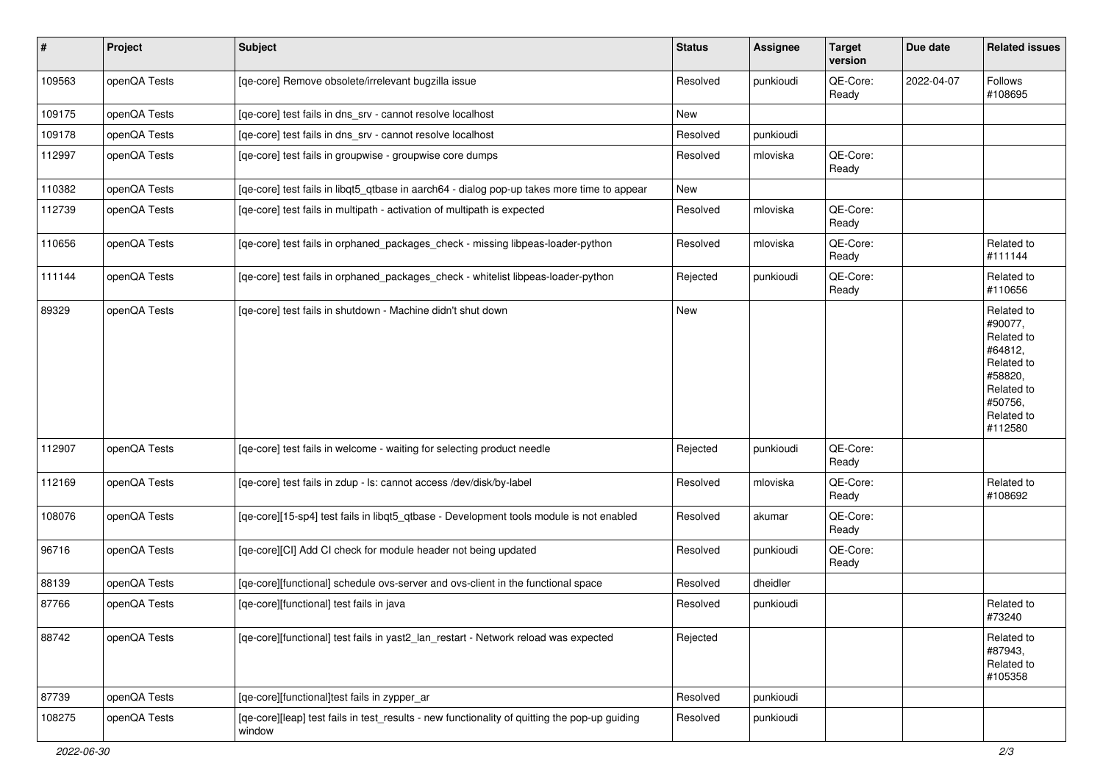| $\vert$ # | Project      | <b>Subject</b>                                                                                          | <b>Status</b> | Assignee  | <b>Target</b><br>version | Due date   | <b>Related issues</b>                                                                                                     |
|-----------|--------------|---------------------------------------------------------------------------------------------------------|---------------|-----------|--------------------------|------------|---------------------------------------------------------------------------------------------------------------------------|
| 109563    | openQA Tests | [qe-core] Remove obsolete/irrelevant bugzilla issue                                                     | Resolved      | punkioudi | QE-Core:<br>Ready        | 2022-04-07 | Follows<br>#108695                                                                                                        |
| 109175    | openQA Tests | [qe-core] test fails in dns_srv - cannot resolve localhost                                              | <b>New</b>    |           |                          |            |                                                                                                                           |
| 109178    | openQA Tests | [qe-core] test fails in dns_srv - cannot resolve localhost                                              | Resolved      | punkioudi |                          |            |                                                                                                                           |
| 112997    | openQA Tests | [qe-core] test fails in groupwise - groupwise core dumps                                                | Resolved      | mloviska  | QE-Core:<br>Ready        |            |                                                                                                                           |
| 110382    | openQA Tests | [qe-core] test fails in libqt5_qtbase in aarch64 - dialog pop-up takes more time to appear              | New           |           |                          |            |                                                                                                                           |
| 112739    | openQA Tests | [qe-core] test fails in multipath - activation of multipath is expected                                 | Resolved      | mloviska  | QE-Core:<br>Ready        |            |                                                                                                                           |
| 110656    | openQA Tests | [qe-core] test fails in orphaned_packages_check - missing libpeas-loader-python                         | Resolved      | mloviska  | QE-Core:<br>Ready        |            | Related to<br>#111144                                                                                                     |
| 111144    | openQA Tests | [qe-core] test fails in orphaned_packages_check - whitelist libpeas-loader-python                       | Rejected      | punkioudi | QE-Core:<br>Ready        |            | Related to<br>#110656                                                                                                     |
| 89329     | openQA Tests | [qe-core] test fails in shutdown - Machine didn't shut down                                             | New           |           |                          |            | Related to<br>#90077,<br>Related to<br>#64812,<br>Related to<br>#58820,<br>Related to<br>#50756,<br>Related to<br>#112580 |
| 112907    | openQA Tests | [qe-core] test fails in welcome - waiting for selecting product needle                                  | Rejected      | punkioudi | QE-Core:<br>Ready        |            |                                                                                                                           |
| 112169    | openQA Tests | [qe-core] test fails in zdup - ls: cannot access /dev/disk/by-label                                     | Resolved      | mloviska  | QE-Core:<br>Ready        |            | Related to<br>#108692                                                                                                     |
| 108076    | openQA Tests | [qe-core][15-sp4] test fails in libqt5_qtbase - Development tools module is not enabled                 | Resolved      | akumar    | QE-Core:<br>Ready        |            |                                                                                                                           |
| 96716     | openQA Tests | [qe-core][CI] Add CI check for module header not being updated                                          | Resolved      | punkioudi | QE-Core:<br>Ready        |            |                                                                                                                           |
| 88139     | openQA Tests | [qe-core][functional] schedule ovs-server and ovs-client in the functional space                        | Resolved      | dheidler  |                          |            |                                                                                                                           |
| 87766     | openQA Tests | [qe-core][functional] test fails in java                                                                | Resolved      | punkioudi |                          |            | Related to<br>#73240                                                                                                      |
| 88742     | openQA Tests | [qe-core][functional] test fails in yast2_lan_restart - Network reload was expected                     | Rejected      |           |                          |            | Related to<br>#87943,<br>Related to<br>#105358                                                                            |
| 87739     | openQA Tests | [qe-core][functional]test fails in zypper_ar                                                            | Resolved      | punkioudi |                          |            |                                                                                                                           |
| 108275    | openQA Tests | [qe-core][leap] test fails in test_results - new functionality of quitting the pop-up guiding<br>window | Resolved      | punkioudi |                          |            |                                                                                                                           |